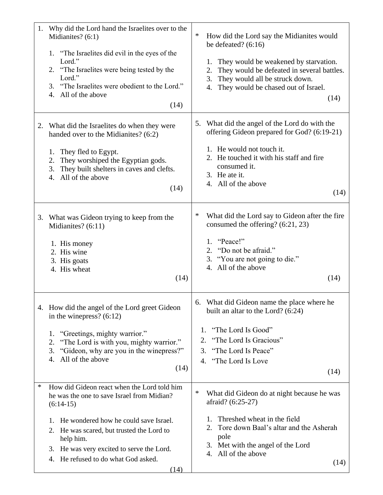| 1. | Why did the Lord hand the Israelites over to the<br>Midianites? (6:1)<br>1. "The Israelites did evil in the eyes of the<br>Lord."<br>2. "The Israelites were being tested by the<br>Lord."<br>3. "The Israelites were obedient to the Lord."<br>4. All of the above<br>(14)                                      | ∗<br>How did the Lord say the Midianites would<br>be defeated? $(6:16)$<br>They would be weakened by starvation.<br>1.<br>They would be defeated in several battles.<br>2.<br>They would all be struck down.<br>3.<br>They would be chased out of Israel.<br>4.<br>(14) |
|----|------------------------------------------------------------------------------------------------------------------------------------------------------------------------------------------------------------------------------------------------------------------------------------------------------------------|-------------------------------------------------------------------------------------------------------------------------------------------------------------------------------------------------------------------------------------------------------------------------|
| 2. | What did the Israelites do when they were<br>handed over to the Midianites? (6:2)<br>They fled to Egypt.<br>1.<br>They worshiped the Egyptian gods.<br>2.<br>They built shelters in caves and clefts.<br>3.<br>All of the above<br>4.<br>(14)                                                                    | 5. What did the angel of the Lord do with the<br>offering Gideon prepared for God? (6:19-21)<br>1. He would not touch it.<br>2. He touched it with his staff and fire<br>consumed it.<br>3. He ate it.<br>4. All of the above<br>(14)                                   |
|    | 3. What was Gideon trying to keep from the<br>Midianites? (6:11)<br>1. His money<br>2. His wine<br>3. His goats<br>4. His wheat<br>(14)                                                                                                                                                                          | $\ast$<br>What did the Lord say to Gideon after the fire<br>consumed the offering? (6:21, 23)<br>1. "Peace!"<br>2. "Do not be afraid."<br>3. "You are not going to die."<br>4. All of the above<br>(14)                                                                 |
|    | 4. How did the angel of the Lord greet Gideon<br>in the winepress? $(6:12)$<br>"Greetings, mighty warrior."<br>1.<br>"The Lord is with you, mighty warrior."<br>2.<br>"Gideon, why are you in the winepress?"<br>3.<br>All of the above<br>4.<br>(14)                                                            | 6. What did Gideon name the place where he<br>built an altar to the Lord? $(6:24)$<br>1. "The Lord Is Good"<br>"The Lord Is Gracious"<br>2.<br>"The Lord Is Peace"<br>3.<br>4. "The Lord Is Love<br>(14)                                                                |
| ∗  | How did Gideon react when the Lord told him<br>he was the one to save Israel from Midian?<br>$(6:14-15)$<br>He wondered how he could save Israel.<br>1.<br>2. He was scared, but trusted the Lord to<br>help him.<br>3. He was very excited to serve the Lord.<br>He refused to do what God asked.<br>4.<br>(14) | $\ast$<br>What did Gideon do at night because he was<br>afraid? (6:25-27)<br>Threshed wheat in the field<br>1.<br>Tore down Baal's altar and the Asherah<br>2.<br>pole<br>3. Met with the angel of the Lord<br>4. All of the above<br>(14)                              |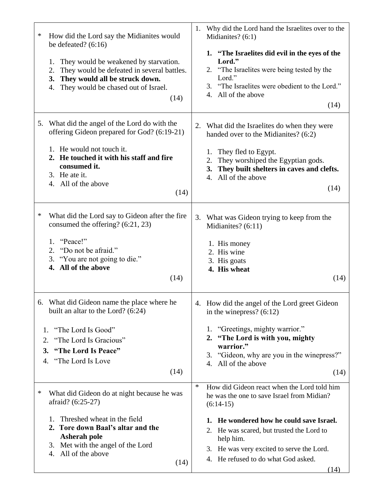| ∗<br>How did the Lord say the Midianites would<br>be defeated? $(6:16)$<br>They would be weakened by starvation.<br>1.<br>They would be defeated in several battles.<br>2.<br>They would all be struck down.<br>3.<br>They would be chased out of Israel.<br>4.<br>(14) | Why did the Lord hand the Israelites over to the<br>1.<br>Midianites? (6:1)<br>1. "The Israelites did evil in the eyes of the<br>Lord."<br>2. "The Israelites were being tested by the<br>Lord."<br>3. "The Israelites were obedient to the Lord."<br>4. All of the above<br>(14)                                    |
|-------------------------------------------------------------------------------------------------------------------------------------------------------------------------------------------------------------------------------------------------------------------------|----------------------------------------------------------------------------------------------------------------------------------------------------------------------------------------------------------------------------------------------------------------------------------------------------------------------|
| 5. What did the angel of the Lord do with the<br>offering Gideon prepared for God? (6:19-21)<br>1. He would not touch it.<br>2. He touched it with his staff and fire<br>consumed it.<br>3. He ate it.<br>4. All of the above<br>(14)                                   | 2. What did the Israelites do when they were<br>handed over to the Midianites? (6:2)<br>They fled to Egypt.<br>1.<br>They worshiped the Egyptian gods.<br>2.<br>They built shelters in caves and clefts.<br>3.<br>4. All of the above<br>(14)                                                                        |
| ∗<br>What did the Lord say to Gideon after the fire<br>consumed the offering? (6:21, 23)<br>"Peace!"<br>1.<br>2. "Do not be afraid."<br>3. "You are not going to die."<br>4. All of the above<br>(14)                                                                   | 3. What was Gideon trying to keep from the<br>Midianites? (6:11)<br>1. His money<br>2. His wine<br>3. His goats<br>4. His wheat<br>(14)                                                                                                                                                                              |
| 6. What did Gideon name the place where he<br>built an altar to the Lord? (6:24)<br>"The Lord Is Good"<br>1.<br>"The Lord Is Gracious"<br>2.<br>3. "The Lord Is Peace"<br>4. "The Lord Is Love<br>(14)                                                                  | 4. How did the angel of the Lord greet Gideon<br>in the winepress? $(6:12)$<br>1. "Greetings, mighty warrior."<br>2. "The Lord is with you, mighty<br>warrior."<br>3. "Gideon, why are you in the winepress?"<br>4. All of the above<br>(14)                                                                         |
| ∗<br>What did Gideon do at night because he was<br>afraid? (6:25-27)<br>Threshed wheat in the field<br>1.<br>2. Tore down Baal's altar and the<br><b>Asherah pole</b><br>3. Met with the angel of the Lord<br>4. All of the above<br>(14)                               | $\ast$<br>How did Gideon react when the Lord told him<br>he was the one to save Israel from Midian?<br>$(6:14-15)$<br>1. He wondered how he could save Israel.<br>2. He was scared, but trusted the Lord to<br>help him.<br>3. He was very excited to serve the Lord.<br>4. He refused to do what God asked.<br>(14) |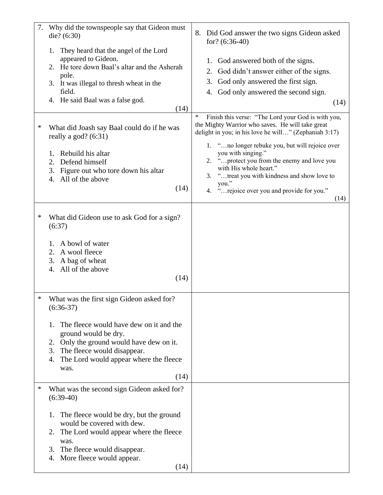| 7. | Why did the townspeople say that Gideon must<br>die? $(6:30)$                                                                                                                                                                                                                      | 8.<br>Did God answer the two signs Gideon asked<br>for? $(6:36-40)$                                                                                                                                                                                                                                                                                                                                                                                 |
|----|------------------------------------------------------------------------------------------------------------------------------------------------------------------------------------------------------------------------------------------------------------------------------------|-----------------------------------------------------------------------------------------------------------------------------------------------------------------------------------------------------------------------------------------------------------------------------------------------------------------------------------------------------------------------------------------------------------------------------------------------------|
|    | They heard that the angel of the Lord<br>1.<br>appeared to Gideon.<br>2. He tore down Baal's altar and the Asherah<br>pole.<br>3. It was illegal to thresh wheat in the<br>field.<br>4. He said Baal was a false god.<br>(14)                                                      | 1. God answered both of the signs.<br>God didn't answer either of the signs.<br>2.<br>God only answered the first sign.<br>3.<br>4. God only answered the second sign.<br>(14)                                                                                                                                                                                                                                                                      |
| ∗  | What did Joash say Baal could do if he was<br>really a god? $(6:31)$<br>Rebuild his altar<br>1.<br>Defend himself<br>2.<br>3.<br>Figure out who tore down his altar<br>All of the above<br>4.<br>(14)                                                                              | $\ast$<br>Finish this verse: "The Lord your God is with you,<br>the Mighty Warrior who saves. He will take great<br>delight in you; in his love he will" (Zephaniah 3:17)<br>1. "no longer rebuke you, but will rejoice over<br>you with singing."<br>"protect you from the enemy and love you<br>2.<br>with His whole heart."<br>"treat you with kindness and show love to<br>3.<br>you."<br>"rejoice over you and provide for you."<br>4.<br>(14) |
| ∗  | What did Gideon use to ask God for a sign?<br>(6:37)<br>A bowl of water<br>1.<br>A wool fleece<br>2.<br>3.<br>A bag of wheat<br>All of the above<br>4.<br>(14)                                                                                                                     |                                                                                                                                                                                                                                                                                                                                                                                                                                                     |
| ∗  | What was the first sign Gideon asked for?<br>$(6:36-37)$<br>The fleece would have dew on it and the<br>1.<br>ground would be dry.<br>2. Only the ground would have dew on it.<br>3.<br>The fleece would disappear.<br>The Lord would appear where the fleece<br>4.<br>was.<br>(14) |                                                                                                                                                                                                                                                                                                                                                                                                                                                     |
| ∗  | What was the second sign Gideon asked for?<br>$(6:39-40)$<br>The fleece would be dry, but the ground<br>1.<br>would be covered with dew.<br>The Lord would appear where the fleece<br>2.<br>was.<br>The fleece would disappear.<br>3.<br>More fleece would appear.<br>4.<br>(14)   |                                                                                                                                                                                                                                                                                                                                                                                                                                                     |